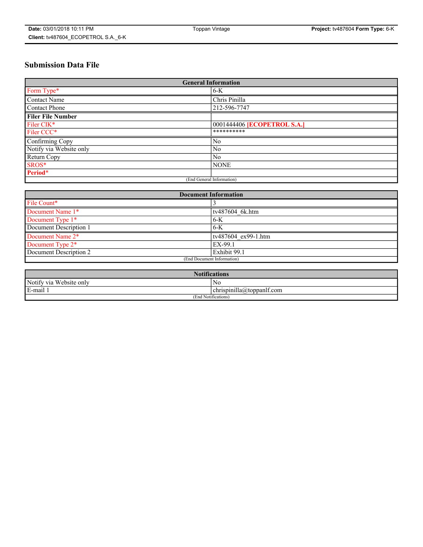# **Submission Data File**

| <b>General Information</b> |                                    |
|----------------------------|------------------------------------|
| Form Type*                 | $6-K$                              |
| Contact Name               | Chris Pinilla                      |
| Contact Phone              | 212-596-7747                       |
| <b>Filer File Number</b>   |                                    |
| Filer CIK*                 | 0001444406 <b>[ECOPETROL S.A.]</b> |
| Filer CCC*                 | **********                         |
| Confirming Copy            | N <sub>0</sub>                     |
| Notify via Website only    | N <sub>0</sub>                     |
| Return Copy                | N <sub>0</sub>                     |
| SROS*                      | <b>NONE</b>                        |
| Period*                    |                                    |
| (End General Information)  |                                    |

| <b>Document Information</b> |                     |
|-----------------------------|---------------------|
| File Count*                 |                     |
| Document Name 1*            | tv487604 6k.htm     |
| Document Type 1*            | $6-K$               |
| Document Description 1      | $6-K$               |
| Document Name 2*            | tv487604 ex99-1.htm |
| Document Type 2*            | EX-99.1             |
| Document Description 2      | Exhibit 99.1        |
| (End Document Information)  |                     |

| <b>Notifications</b>    |                           |  |
|-------------------------|---------------------------|--|
| Notify via Website only | No                        |  |
| E-mail 1                | chrispinilla@toppanlf.com |  |
| (End Notifications)     |                           |  |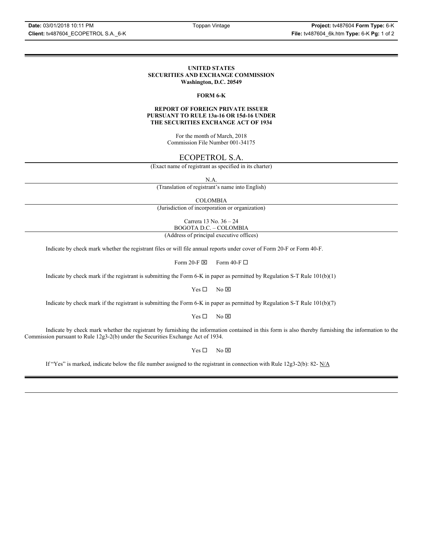#### **UNITED STATES SECURITIES AND EXCHANGE COMMISSION Washington, D.C. 20549**

#### **FORM 6-K**

#### **REPORT OF FOREIGN PRIVATE ISSUER PURSUANT TO RULE 13a-16 OR 15d-16 UNDER THE SECURITIES EXCHANGE ACT OF 1934**

For the month of March, 2018 Commission File Number 001-34175

## ECOPETROL S.A.

(Exact name of registrant as specified in its charter)

N.A.

(Translation of registrant's name into English)

COLOMBIA

(Jurisdiction of incorporation or organization)

Carrera 13 No. 36 – 24 BOGOTA D.C. – COLOMBIA

(Address of principal executive offices)

Indicate by check mark whether the registrant files or will file annual reports under cover of Form 20-F or Form 40-F.

Form 20-F  $\boxtimes$  Form 40-F  $\Box$ 

Indicate by check mark if the registrant is submitting the Form 6-K in paper as permitted by Regulation S-T Rule 101(b)(1)

 $Yes \Box$  No  $\boxtimes$ 

Indicate by check mark if the registrant is submitting the Form 6-K in paper as permitted by Regulation S-T Rule 101(b)(7)

 $Yes \Box$  No  $\boxtimes$ 

Indicate by check mark whether the registrant by furnishing the information contained in this form is also thereby furnishing the information to the Commission pursuant to Rule 12g3-2(b) under the Securities Exchange Act of 1934.

 $Yes \Box$  No  $\boxtimes$ 

If "Yes" is marked, indicate below the file number assigned to the registrant in connection with Rule 12g3-2(b): 82-  $N/A$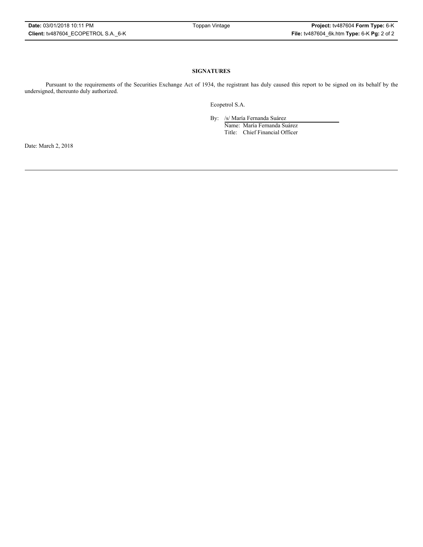### **SIGNATURES**

Pursuant to the requirements of the Securities Exchange Act of 1934, the registrant has duly caused this report to be signed on its behalf by the undersigned, thereunto duly authorized.

Ecopetrol S.A.

By: /s/ María Fernanda Suárez

Name: María Fernanda Suárez Title: Chief Financial Officer

Date: March 2, 2018